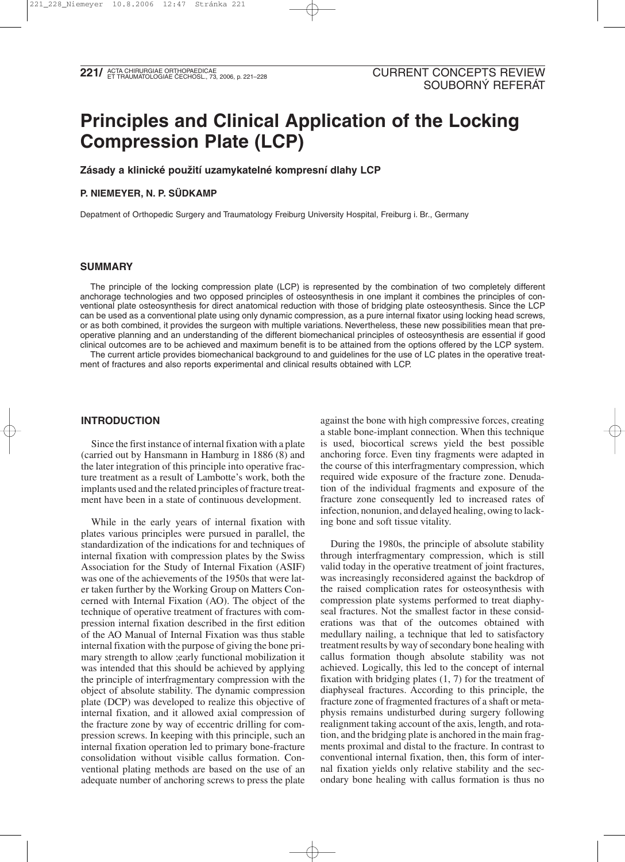# **Principles and Clinical Application of the Locking Compression Plate (LCP)**

**Zásady a klinické použití uzamykatelné kompresní dlahy LCP**

## **P. NIEMEYER, N. P. SÜDKAMP**

Depatment of Orthopedic Surgery and Traumatology Freiburg University Hospital, Freiburg i. Br., Germany

#### **SUMMARY**

The principle of the locking compression plate (LCP) is represented by the combination of two completely different anchorage technologies and two opposed principles of osteosynthesis in one implant it combines the principles of conventional plate osteosynthesis for direct anatomical reduction with those of bridging plate osteosynthesis. Since the LCP can be used as a conventional plate using only dynamic compression, as a pure internal fixator using locking head screws, or as both combined, it provides the surgeon with multiple variations. Nevertheless, these new possibilities mean that preoperative planning and an understanding of the different biomechanical principles of osteosynthesis are essential if good clinical outcomes are to be achieved and maximum benefit is to be attained from the options offered by the LCP system.

The current article provides biomechanical background to and guidelines for the use of LC plates in the operative treatment of fractures and also reports experimental and clinical results obtained with LCP.

### **INTRODUCTION**

Since the first instance of internal fixation with a plate (carried out by Hansmann in Hamburg in 1886 (8) and the later integration of this principle into operative fracture treatment as a result of Lambotte's work, both the implants used and the related principles of fracture treatment have been in a state of continuous development.

While in the early years of internal fixation with plates various principles were pursued in parallel, the standardization of the indications for and techniques of internal fixation with compression plates by the Swiss Association for the Study of Internal Fixation (ASIF) was one of the achievements of the 1950s that were later taken further by the Working Group on Matters Concerned with Internal Fixation (AO). The object of the technique of operative treatment of fractures with compression internal fixation described in the first edition of the AO Manual of Internal Fixation was thus stable internal fixation with the purpose of giving the bone primary strength to allow ;early functional mobilization it was intended that this should be achieved by applying the principle of interfragmentary compression with the object of absolute stability. The dynamic compression plate (DCP) was developed to realize this objective of internal fixation, and it allowed axial compression of the fracture zone by way of eccentric drilling for compression screws. In keeping with this principle, such an internal fixation operation led to primary bone-fracture consolidation without visible callus formation. Conventional plating methods are based on the use of an adequate number of anchoring screws to press the plate against the bone with high compressive forces, creating a stable bone-implant connection. When this technique is used, biocortical screws yield the best possible anchoring force. Even tiny fragments were adapted in the course of this interfragmentary compression, which required wide exposure of the fracture zone. Denudation of the individual fragments and exposure of the fracture zone consequently led to increased rates of infection, nonunion, and delayed healing, owing to lacking bone and soft tissue vitality.

During the 1980s, the principle of absolute stability through interfragmentary compression, which is still valid today in the operative treatment of joint fractures, was increasingly reconsidered against the backdrop of the raised complication rates for osteosynthesis with compression plate systems performed to treat diaphyseal fractures. Not the smallest factor in these considerations was that of the outcomes obtained with medullary nailing, a technique that led to satisfactory treatment results by way of secondary bone healing with callus formation though absolute stability was not achieved. Logically, this led to the concept of internal fixation with bridging plates (1, 7) for the treatment of diaphyseal fractures. According to this principle, the fracture zone of fragmented fractures of a shaft or metaphysis remains undisturbed during surgery following realignment taking account of the axis, length, and rotation, and the bridging plate is anchored in the main fragments proximal and distal to the fracture. In contrast to conventional internal fixation, then, this form of internal fixation yields only relative stability and the secondary bone healing with callus formation is thus no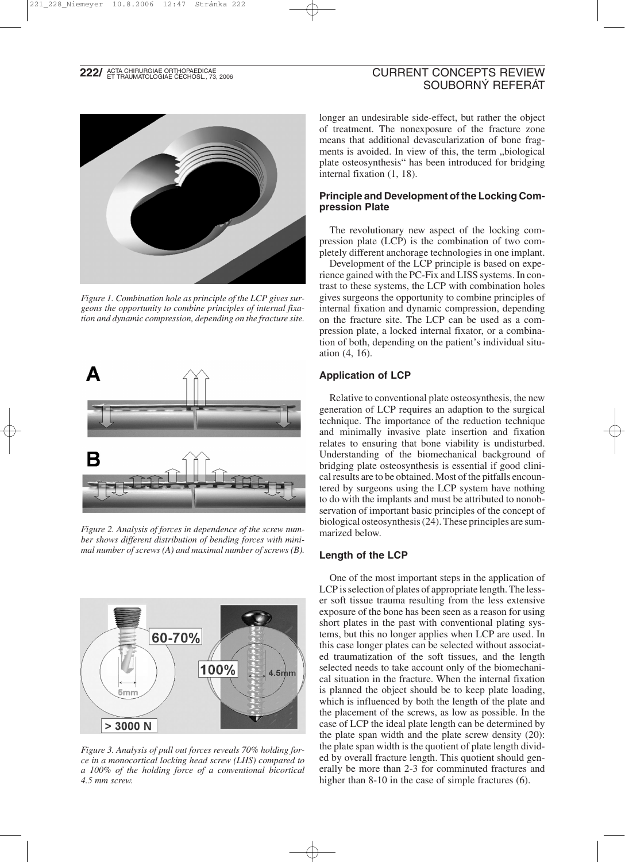# **222/ ACTA CHIRURGIAE ORTHOPAEDICAE**<br>**222/ ET TRAUMATOLOGIAE ČECHOSL., 73, 2006**

# CURRENT CONCEPTS REVIEW SOUBORNÝ REFERÁT



*Figure 1. Combination hole as principle of the LCP gives surgeons the opportunity to combine principles of internal fixation and dynamic compression, depending on the fracture site.*



*Figure 2. Analysis of forces in dependence of the screw number shows different distribution of bending forces with minimal number of screws (A) and maximal number of screws (B).*



*Figure 3. Analysis of pull out forces reveals 70% holding force in a monocortical locking head screw (LHS) compared to a 100% of the holding force of a conventional bicortical 4.5 mm screw.*

longer an undesirable side-effect, but rather the object of treatment. The nonexposure of the fracture zone means that additional devascularization of bone fragments is avoided. In view of this, the term "biological plate osteosynthesis" has been introduced for bridging internal fixation (1, 18).

## **Principle and Development of the Locking Compression Plate**

The revolutionary new aspect of the locking compression plate (LCP) is the combination of two completely different anchorage technologies in one implant.

Development of the LCP principle is based on experience gained with the PC-Fix and LISS systems. In contrast to these systems, the LCP with combination holes gives surgeons the opportunity to combine principles of internal fixation and dynamic compression, depending on the fracture site. The LCP can be used as a compression plate, a locked internal fixator, or a combination of both, depending on the patient's individual situation (4, 16).

## **Application of LCP**

Relative to conventional plate osteosynthesis, the new generation of LCP requires an adaption to the surgical technique. The importance of the reduction technique and minimally invasive plate insertion and fixation relates to ensuring that bone viability is undisturbed. Understanding of the biomechanical background of bridging plate osteosynthesis is essential if good clinical results are to be obtained. Most of the pitfalls encountered by surgeons using the LCP system have nothing to do with the implants and must be attributed to nonobservation of important basic principles of the concept of biological osteosynthesis (24). These principles are summarized below.

## **Length of the LCP**

One of the most important steps in the application of LCP is selection of plates of appropriate length. The lesser soft tissue trauma resulting from the less extensive exposure of the bone has been seen as a reason for using short plates in the past with conventional plating systems, but this no longer applies when LCP are used. In this case longer plates can be selected without associated traumatization of the soft tissues, and the length selected needs to take account only of the biomechanical situation in the fracture. When the internal fixation is planned the object should be to keep plate loading, which is influenced by both the length of the plate and the placement of the screws, as low as possible. In the case of LCP the ideal plate length can be determined by the plate span width and the plate screw density (20): the plate span width is the quotient of plate length divided by overall fracture length. This quotient should generally be more than 2-3 for comminuted fractures and higher than 8-10 in the case of simple fractures (6).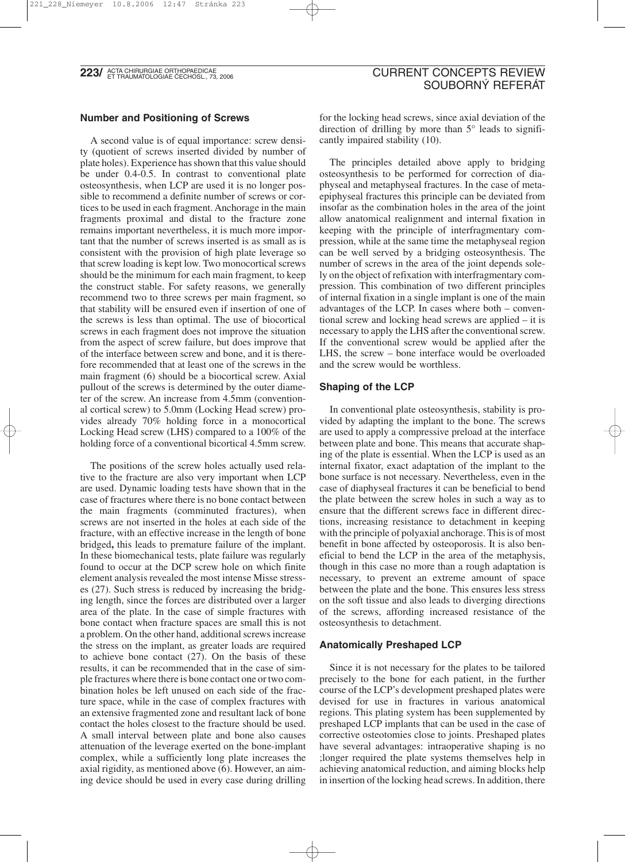**223/ ACTA CHIRURGIAE ORTHOPAEDICAE**<br>**223/ ET TRAUMATOLOGIAE ČECHOSL., 73, 2006** 

## **Number and Positioning of Screws**

A second value is of equal importance: screw density (quotient of screws inserted divided by number of plate holes). Experience has shown that this value should be under 0.4-0.5. In contrast to conventional plate osteosynthesis, when LCP are used it is no longer possible to recommend a definite number of screws or cortices to be used in each fragment. Anchorage in the main fragments proximal and distal to the fracture zone remains important nevertheless, it is much more important that the number of screws inserted is as small as is consistent with the provision of high plate leverage so that screw loading is kept low. Two monocortical screws should be the minimum for each main fragment, to keep the construct stable. For safety reasons, we generally recommend two to three screws per main fragment, so that stability will be ensured even if insertion of one of the screws is less than optimal. The use of biocortical screws in each fragment does not improve the situation from the aspect of screw failure, but does improve that of the interface between screw and bone, and it is therefore recommended that at least one of the screws in the main fragment (6) should be a biocortical screw. Axial pullout of the screws is determined by the outer diameter of the screw. An increase from 4.5mm (conventional cortical screw) to 5.0mm (Locking Head screw) provides already 70% holding force in a monocortical Locking Head screw (LHS) compared to a 100% of the holding force of a conventional bicortical 4.5mm screw.

The positions of the screw holes actually used relative to the fracture are also very important when LCP are used. Dynamic loading tests have shown that in the case of fractures where there is no bone contact between the main fragments (comminuted fractures), when screws are not inserted in the holes at each side of the fracture, with an effective increase in the length of bone bridged**,** this leads to premature failure of the implant. In these biomechanical tests, plate failure was regularly found to occur at the DCP screw hole on which finite element analysis revealed the most intense Misse stresses (27). Such stress is reduced by increasing the bridging length, since the forces are distributed over a larger area of the plate. In the case of simple fractures with bone contact when fracture spaces are small this is not a problem. On the other hand, additional screws increase the stress on the implant, as greater loads are required to achieve bone contact  $(27)$ . On the basis of these results, it can be recommended that in the case of simple fractures where there is bone contact one or two combination holes be left unused on each side of the fracture space, while in the case of complex fractures with an extensive fragmented zone and resultant lack of bone contact the holes closest to the fracture should be used. A small interval between plate and bone also causes attenuation of the leverage exerted on the bone-implant complex, while a sufficiently long plate increases the axial rigidity, as mentioned above (6). However, an aiming device should be used in every case during drilling

# CURRENT CONCEPTS REVIEW SOUBORNÝ REFERÁT

for the locking head screws, since axial deviation of the direction of drilling by more than 5° leads to significantly impaired stability (10).

The principles detailed above apply to bridging osteosynthesis to be performed for correction of diaphyseal and metaphyseal fractures. In the case of metaepiphyseal fractures this principle can be deviated from insofar as the combination holes in the area of the joint allow anatomical realignment and internal fixation in keeping with the principle of interfragmentary compression, while at the same time the metaphyseal region can be well served by a bridging osteosynthesis. The number of screws in the area of the joint depends solely on the object of refixation with interfragmentary compression. This combination of two different principles of internal fixation in a single implant is one of the main advantages of the LCP. In cases where both – conventional screw and locking head screws are applied – it is necessary to apply the LHS after the conventional screw. If the conventional screw would be applied after the LHS, the screw – bone interface would be overloaded and the screw would be worthless.

#### **Shaping of the LCP**

In conventional plate osteosynthesis, stability is provided by adapting the implant to the bone. The screws are used to apply a compressive preload at the interface between plate and bone. This means that accurate shaping of the plate is essential. When the LCP is used as an internal fixator, exact adaptation of the implant to the bone surface is not necessary. Nevertheless, even in the case of diaphyseal fractures it can be beneficial to bend the plate between the screw holes in such a way as to ensure that the different screws face in different directions, increasing resistance to detachment in keeping with the principle of polyaxial anchorage. This is of most benefit in bone affected by osteoporosis. It is also beneficial to bend the LCP in the area of the metaphysis, though in this case no more than a rough adaptation is necessary, to prevent an extreme amount of space between the plate and the bone. This ensures less stress on the soft tissue and also leads to diverging directions of the screws, affording increased resistance of the osteosynthesis to detachment.

#### **Anatomically Preshaped LCP**

Since it is not necessary for the plates to be tailored precisely to the bone for each patient, in the further course of the LCP's development preshaped plates were devised for use in fractures in various anatomical regions. This plating system has been supplemented by preshaped LCP implants that can be used in the case of corrective osteotomies close to joints. Preshaped plates have several advantages: intraoperative shaping is no ;longer required the plate systems themselves help in achieving anatomical reduction, and aiming blocks help in insertion of the locking head screws. In addition, there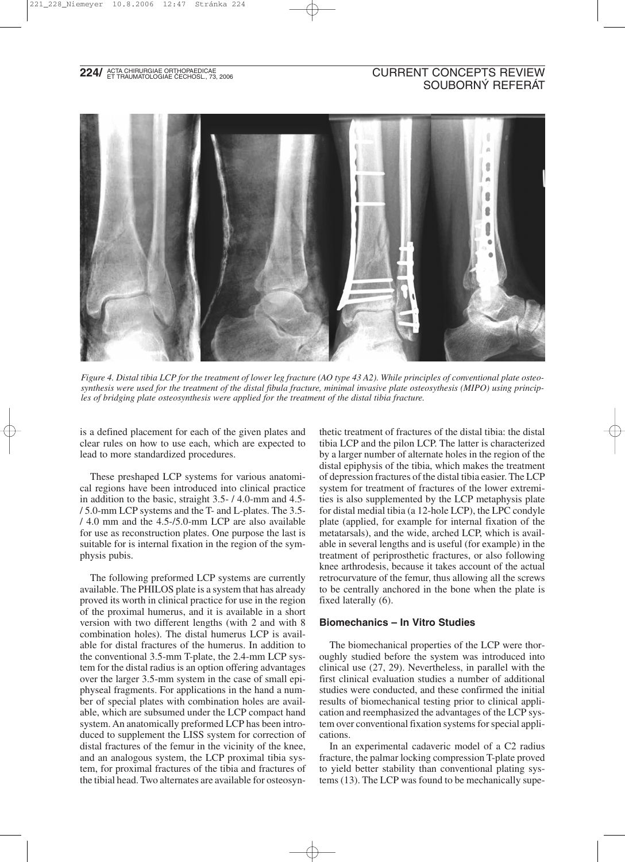# **224/ ACTA CHIRURGIAE ORTHOPAEDICAE**<br>**224/ ET TRAUMATOLOGIAE ČECHOSL., 73, 2006**

# CURRENT CONCEPTS REVIEW SOUBORNÝ REFERÁT



*Figure 4. Distal tibia LCP for the treatment of lower leg fracture (AO type 43 A2). While principles of conventional plate osteosynthesis were used for the treatment of the distal fibula fracture, minimal invasive plate osteosythesis (MIPO) using principles of bridging plate osteosynthesis were applied for the treatment of the distal tibia fracture.*

is a defined placement for each of the given plates and clear rules on how to use each, which are expected to lead to more standardized procedures.

These preshaped LCP systems for various anatomical regions have been introduced into clinical practice in addition to the basic, straight 3.5- / 4.0-mm and 4.5- / 5.0-mm LCP systems and the T- and L-plates. The 3.5- / 4.0 mm and the 4.5-/5.0-mm LCP are also available for use as reconstruction plates. One purpose the last is suitable for is internal fixation in the region of the symphysis pubis.

The following preformed LCP systems are currently available. The PHILOS plate is a system that has already proved its worth in clinical practice for use in the region of the proximal humerus, and it is available in a short version with two different lengths (with 2 and with 8 combination holes). The distal humerus LCP is available for distal fractures of the humerus. In addition to the conventional 3.5-mm T-plate, the 2.4-mm LCP system for the distal radius is an option offering advantages over the larger 3.5-mm system in the case of small epiphyseal fragments. For applications in the hand a number of special plates with combination holes are available, which are subsumed under the LCP compact hand system. An anatomically preformed LCP has been introduced to supplement the LISS system for correction of distal fractures of the femur in the vicinity of the knee, and an analogous system, the LCP proximal tibia system, for proximal fractures of the tibia and fractures of the tibial head. Two alternates are available for osteosynthetic treatment of fractures of the distal tibia: the distal tibia LCP and the pilon LCP. The latter is characterized by a larger number of alternate holes in the region of the distal epiphysis of the tibia, which makes the treatment of depression fractures of the distal tibia easier. The LCP system for treatment of fractures of the lower extremities is also supplemented by the LCP metaphysis plate for distal medial tibia (a 12-hole LCP), the LPC condyle plate (applied, for example for internal fixation of the metatarsals), and the wide, arched LCP, which is available in several lengths and is useful (for example) in the treatment of periprosthetic fractures, or also following knee arthrodesis, because it takes account of the actual retrocurvature of the femur, thus allowing all the screws to be centrally anchored in the bone when the plate is fixed laterally (6).

#### **Biomechanics – In Vitro Studies**

The biomechanical properties of the LCP were thoroughly studied before the system was introduced into clinical use (27, 29). Nevertheless, in parallel with the first clinical evaluation studies a number of additional studies were conducted, and these confirmed the initial results of biomechanical testing prior to clinical application and reemphasized the advantages of the LCP system over conventional fixation systems for special applications.

In an experimental cadaveric model of a C2 radius fracture, the palmar locking compression T-plate proved to yield better stability than conventional plating systems (13). The LCP was found to be mechanically supe-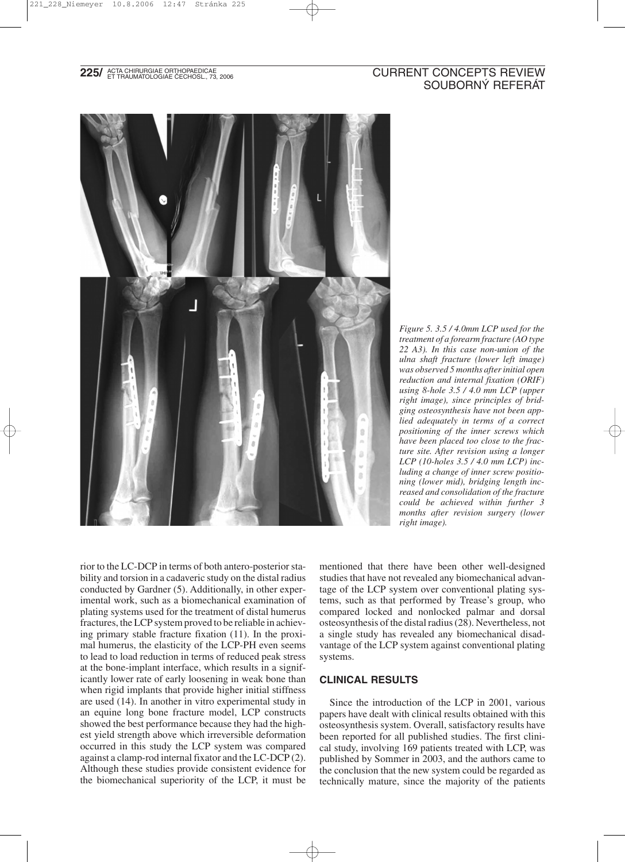# **225/** ACTA CHIRURGIAE ORTHOPAEDICAE (2006) AND THE SECONDER CONCEPTS REVIEW SOUBORNÝ REFERÁT



*Figure 5. 3.5 / 4.0mm LCP used for the treatment of a forearm fracture (AO type 22 A3). In this case non-union of the ulna shaft fracture (lower left image) was observed 5 months after initial open reduction and internal fixation (ORIF) using 8-hole 3.5 / 4.0 mm LCP (upper right image), since principles of bridging osteosynthesis have not been applied adequately in terms of a correct positioning of the inner screws which have been placed too close to the fracture site. After revision using a longer LCP (10-holes 3.5 / 4.0 mm LCP) including a change of inner screw positioning (lower mid), bridging length increased and consolidation of the fracture could be achieved within further 3 months after revision surgery (lower right image).*

rior to the LC-DCP in terms of both antero-posterior stability and torsion in a cadaveric study on the distal radius conducted by Gardner (5). Additionally, in other experimental work, such as a biomechanical examination of plating systems used for the treatment of distal humerus fractures, the LCP system proved to be reliable in achieving primary stable fracture fixation (11). In the proximal humerus, the elasticity of the LCP-PH even seems to lead to load reduction in terms of reduced peak stress at the bone-implant interface, which results in a significantly lower rate of early loosening in weak bone than when rigid implants that provide higher initial stiffness are used (14). In another in vitro experimental study in an equine long bone fracture model, LCP constructs showed the best performance because they had the highest yield strength above which irreversible deformation occurred in this study the LCP system was compared against a clamp-rod internal fixator and the LC-DCP (2). Although these studies provide consistent evidence for the biomechanical superiority of the LCP, it must be

mentioned that there have been other well-designed studies that have not revealed any biomechanical advantage of the LCP system over conventional plating systems, such as that performed by Trease's group, who compared locked and nonlocked palmar and dorsal osteosynthesis of the distal radius (28). Nevertheless, not a single study has revealed any biomechanical disadvantage of the LCP system against conventional plating systems.

## **CLINICAL RESULTS**

Since the introduction of the LCP in 2001, various papers have dealt with clinical results obtained with this osteosynthesis system. Overall, satisfactory results have been reported for all published studies. The first clinical study, involving 169 patients treated with LCP, was published by Sommer in 2003, and the authors came to the conclusion that the new system could be regarded as technically mature, since the majority of the patients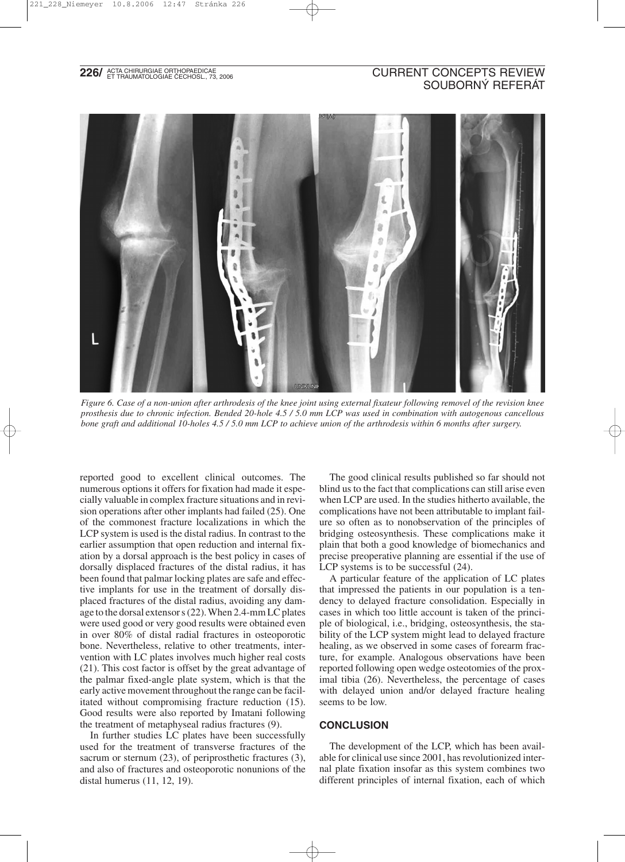# **226/ ACTA CHIRURGIAE ORTHOPAEDICAE**<br>**226/ ET TRAUMATOLOGIAE ČECHOSL., 73, 2006**

# CURRENT CONCEPTS REVIEW SOUBORNÝ REFERÁT



*Figure 6. Case of a non-union after arthrodesis of the knee joint using external fixateur following removel of the revision knee prosthesis due to chronic infection. Bended 20-hole 4.5 / 5.0 mm LCP was used in combination with autogenous cancellous bone graft and additional 10-holes 4.5 / 5.0 mm LCP to achieve union of the arthrodesis within 6 months after surgery.*

reported good to excellent clinical outcomes. The numerous options it offers for fixation had made it especially valuable in complex fracture situations and in revision operations after other implants had failed (25). One of the commonest fracture localizations in which the LCP system is used is the distal radius. In contrast to the earlier assumption that open reduction and internal fixation by a dorsal approach is the best policy in cases of dorsally displaced fractures of the distal radius, it has been found that palmar locking plates are safe and effective implants for use in the treatment of dorsally displaced fractures of the distal radius, avoiding any damage to the dorsal extensor s (22). When 2.4-mm LC plates were used good or very good results were obtained even in over 80% of distal radial fractures in osteoporotic bone. Nevertheless, relative to other treatments, intervention with LC plates involves much higher real costs (21). This cost factor is offset by the great advantage of the palmar fixed-angle plate system, which is that the early active movement throughout the range can be facilitated without compromising fracture reduction (15). Good results were also reported by Imatani following the treatment of metaphyseal radius fractures (9).

In further studies LC plates have been successfully used for the treatment of transverse fractures of the sacrum or sternum (23), of periprosthetic fractures (3), and also of fractures and osteoporotic nonunions of the distal humerus (11, 12, 19).

The good clinical results published so far should not blind us to the fact that complications can still arise even when LCP are used. In the studies hitherto available, the complications have not been attributable to implant failure so often as to nonobservation of the principles of bridging osteosynthesis. These complications make it plain that both a good knowledge of biomechanics and precise preoperative planning are essential if the use of LCP systems is to be successful  $(24)$ .

A particular feature of the application of LC plates that impressed the patients in our population is a tendency to delayed fracture consolidation. Especially in cases in which too little account is taken of the principle of biological, i.e., bridging, osteosynthesis, the stability of the LCP system might lead to delayed fracture healing, as we observed in some cases of forearm fracture, for example. Analogous observations have been reported following open wedge osteotomies of the proximal tibia (26). Nevertheless, the percentage of cases with delayed union and/or delayed fracture healing seems to be low.

#### **CONCLUSION**

The development of the LCP, which has been available for clinical use since 2001, has revolutionized internal plate fixation insofar as this system combines two different principles of internal fixation, each of which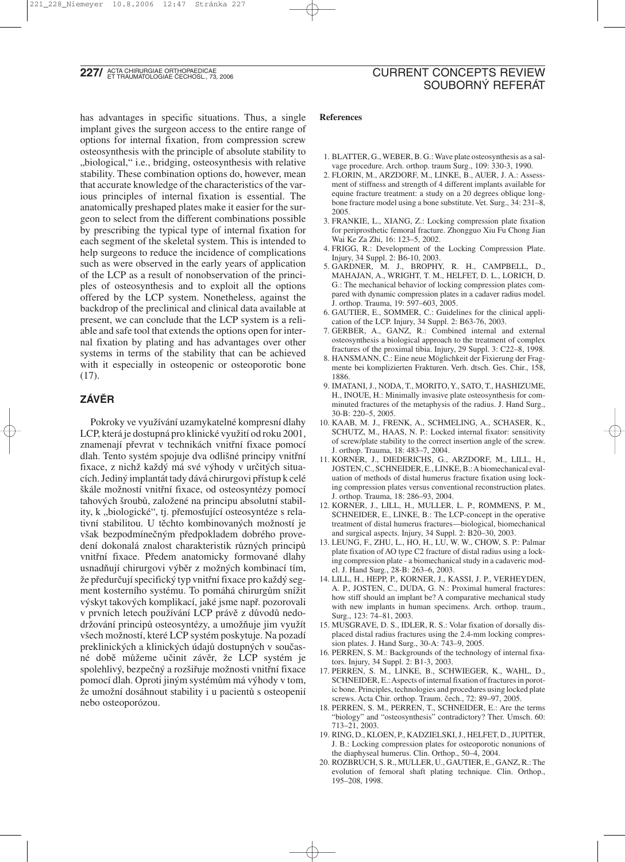**227/** ACTA CHIRURGIAE ORTHOPAEDICAE<br>**227/** ET TRAUMATOLOGIAE ČECHOSL., 73, 2006

# CURRENT CONCEPTS REVIEW SOUBORNÝ REFERÁT

has advantages in specific situations. Thus, a single implant gives the surgeon access to the entire range of options for internal fixation, from compression screw osteosynthesis with the principle of absolute stability to "biological," i.e., bridging, osteosynthesis with relative stability. These combination options do, however, mean that accurate knowledge of the characteristics of the various principles of internal fixation is essential. The anatomically preshaped plates make it easier for the surgeon to select from the different combinations possible by prescribing the typical type of internal fixation for each segment of the skeletal system. This is intended to help surgeons to reduce the incidence of complications such as were observed in the early years of application of the LCP as a result of nonobservation of the principles of osteosynthesis and to exploit all the options offered by the LCP system. Nonetheless, against the backdrop of the preclinical and clinical data available at present, we can conclude that the LCP system is a reliable and safe tool that extends the options open for internal fixation by plating and has advantages over other systems in terms of the stability that can be achieved with it especially in osteopenic or osteoporotic bone (17).

# **ZÁVĚR**

Pokroky ve využívání uzamykatelné kompresní dlahy LCP, která je dostupná pro klinické využití od roku 2001, znamenají převrat v technikách vnitřní fixace pomocí dlah. Tento systém spojuje dva odlišné principy vnitřní fixace, z nichž každý má své výhody v určitých situacích. Jediný implantát tady dává chirurgovi přístup k celé škále možností vnitřní fixace, od osteosyntézy pomocí tahových šroubů, založené na principu absolutní stability, k "biologické", tj. přemosťující osteosyntéze s relativní stabilitou. U těchto kombinovaných možností je však bezpodmínečným předpokladem dobrého provedení dokonalá znalost charakteristik různých principů vnitřní fixace. Předem anatomicky formované dlahy usnadňují chirurgovi výběr z možných kombinací tím, že předurčují specifický typ vnitřní fixace pro každý segment kosterního systému. To pomáhá chirurgům snížit výskyt takových komplikací, jaké jsme např. pozorovali v prvních letech používání LCP právě z důvodů nedodržování principů osteosyntézy, a umožňuje jim využít všech možností, které LCP systém poskytuje. Na pozadí preklinických a klinických údajů dostupných v současné době můžeme učinit závěr, že LCP systém je spolehlivý, bezpečný a rozšiřuje možnosti vnitřní fixace pomocí dlah. Oproti jiným systémům má výhody v tom, že umožní dosáhnout stability i u pacientů s osteopenií nebo osteoporózou.

#### **References**

- 1. BLATTER, G., WEBER, B. G.: Wave plate osteosynthesis as a salvage procedure. Arch. orthop. traum Surg., 109: 330-3, 1990.
- 2. FLORIN, M., ARZDORF, M., LINKE, B., AUER, J. A.: Assessment of stiffness and strength of 4 different implants available for equine fracture treatment: a study on a 20 degrees oblique longbone fracture model using a bone substitute. Vet. Surg., 34: 231–8, 2005.
- 3. FRANKIE, L., XIANG, Z.: Locking compression plate fixation for periprosthetic femoral fracture. Zhongguo Xiu Fu Chong Jian Wai Ke Za Zhi, 16: 123–5, 2002.
- 4. FRIGG, R.: Development of the Locking Compression Plate. Injury, 34 Suppl. 2: B6-10, 2003.
- 5. GARDNER, M. J., BROPHY, R. H., CAMPBELL, D., MAHAJAN, A., WRIGHT, T. M., HELFET, D. L., LORICH, D. G.: The mechanical behavior of locking compression plates compared with dynamic compression plates in a cadaver radius model. J. orthop. Trauma, 19: 597–603, 2005.
- 6. GAUTIER, E., SOMMER, C.: Guidelines for the clinical application of the LCP. Injury, 34 Suppl. 2: B63-76, 2003.
- 7. GERBER, A., GANZ, R.: Combined internal and external osteosynthesis a biological approach to the treatment of complex fractures of the proximal tibia. Injury, 29 Suppl. 3: C22–8, 1998.
- 8. HANSMANN, C.: Eine neue Möglichkeit der Fixierung der Fragmente bei komplizierten Frakturen. Verh. dtsch. Ges. Chir., 158, 1886.
- 9. IMATANI, J., NODA, T., MORITO, Y., SATO, T., HASHIZUME, H., INOUE, H.: Minimally invasive plate osteosynthesis for comminuted fractures of the metaphysis of the radius. J. Hand Surg., 30-B: 220–5, 2005.
- 10. KAAB, M. J., FRENK, A., SCHMELING, A., SCHASER, K., SCHUTZ, M., HAAS, N. P.: Locked internal fixator: sensitivity of screw/plate stability to the correct insertion angle of the screw. J. orthop. Trauma, 18: 483–7, 2004.
- 11. KORNER, J., DIEDERICHS, G., ARZDORF, M., LILL, H., JOSTEN, C., SCHNEIDER, E., LINKE, B.: A biomechanical evaluation of methods of distal humerus fracture fixation using locking compression plates versus conventional reconstruction plates. J. orthop. Trauma, 18: 286–93, 2004.
- 12. KORNER, J., LILL, H., MULLER, L. P., ROMMENS, P. M., SCHNEIDER, E., LINKE, B.: The LCP-concept in the operative treatment of distal humerus fractures—biological, biomechanical and surgical aspects. Injury, 34 Suppl. 2: B20–30, 2003.
- 13. LEUNG, F., ZHU, L., HO, H., LU, W. W., CHOW, S. P.: Palmar plate fixation of AO type C2 fracture of distal radius using a locking compression plate - a biomechanical study in a cadaveric model. J. Hand Surg., 28-B: 263–6, 2003.
- 14. LILL, H., HEPP, P., KORNER, J., KASSI, J. P., VERHEYDEN, A. P., JOSTEN, C., DUDA, G. N.: Proximal humeral fractures: how stiff should an implant be? A comparative mechanical study with new implants in human specimens. Arch. orthop. traum., Surg., 123: 74–81, 2003.
- 15. MUSGRAVE, D. S., IDLER, R. S.: Volar fixation of dorsally displaced distal radius fractures using the 2.4-mm locking compression plates. J. Hand Surg., 30-A: 743–9, 2005.
- 16. PERREN, S. M.: Backgrounds of the technology of internal fixators. Injury, 34 Suppl. 2: B1-3, 2003.
- 17. PERREN, S. M., LINKE, B., SCHWIEGER, K., WAHL, D., SCHNEIDER, E.: Aspects of internal fixation of fractures in porotic bone. Principles, technologies and procedures using locked plate screws. Acta Chir. orthop. Traum. čech., 72: 89–97, 2005.
- 18. PERREN, S. M., PERREN, T., SCHNEIDER, E.: Are the terms "biology" and "osteosynthesis" contradictory? Ther. Umsch. 60: 713–21, 2003.
- 19. RING, D., KLOEN, P., KADZIELSKI, J., HELFET, D., JUPITER, J. B.: Locking compression plates for osteoporotic nonunions of the diaphyseal humerus. Clin. Orthop., 50–4, 2004.
- 20. ROZBRUCH, S. R., MULLER, U., GAUTIER, E., GANZ, R.: The evolution of femoral shaft plating technique. Clin. Orthop., 195–208, 1998.